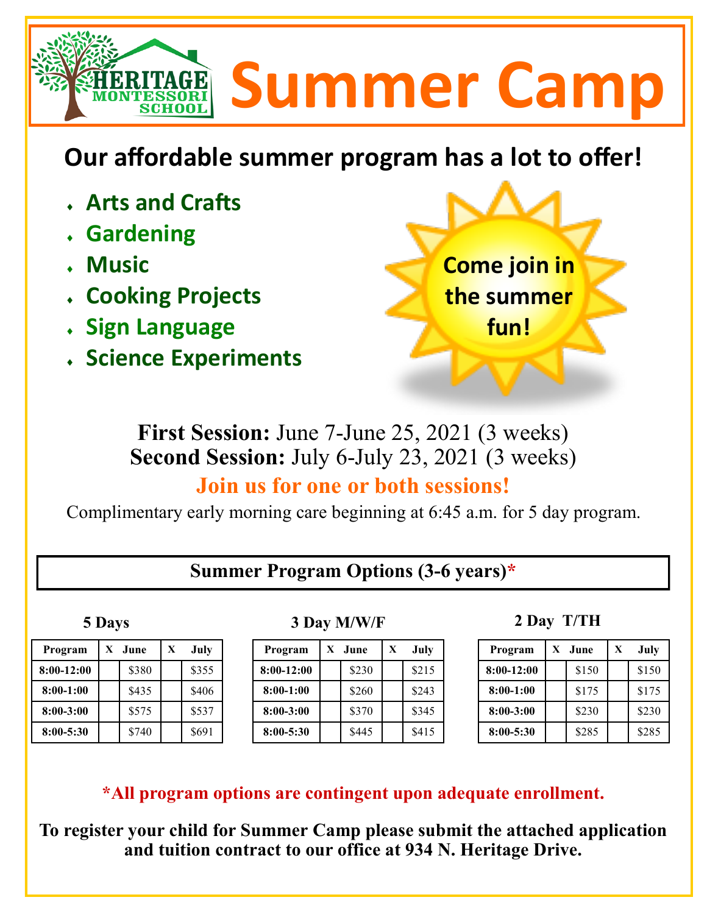# **Summer Camp**

# **Our affordable summer program has a lot to offer!**

- **Arts and Crafts**
- **Gardening**
- **Music**
- **Cooking Projects**
- **Sign Language**
- **Science Experiments**



**First Session:** June 7-June 25, 2021 (3 weeks) **Second Session:** July 6-July 23, 2021 (3 weeks)

# **Join us for one or both sessions!**

Complimentary early morning care beginning at 6:45 a.m. for 5 day program.

# **Summer Program Options (3-6 years)\***

| Program       | X | <b>June</b> | X | July  |
|---------------|---|-------------|---|-------|
| 8:00-12:00    |   | \$380       |   | \$355 |
| $8:00-1:00$   |   | \$435       |   | \$406 |
| $8:00 - 3:00$ |   | \$575       |   | \$537 |
| $8:00 - 5:30$ |   | \$740       |   | \$691 |

## **5 Days 3 Day M/W/F 2 Day T/TH**

| Program       | X | June. | X | July  |
|---------------|---|-------|---|-------|
| $8:00-12:00$  |   | \$230 |   | \$215 |
| $8:00-1:00$   |   | \$260 |   | \$243 |
| $8:00 - 3:00$ |   | \$370 |   | \$345 |
| $8:00 - 5:30$ |   | \$445 |   | \$415 |

| Program       | X | June  | X | July  |
|---------------|---|-------|---|-------|
| $8:00-12:00$  |   | \$150 |   | \$150 |
| $8:00-1:00$   |   | \$175 |   | \$175 |
| $8:00 - 3:00$ |   | \$230 |   | \$230 |
| 8:00-5:30     |   | \$285 |   | \$285 |

**\*All program options are contingent upon adequate enrollment.** 

**To register your child for Summer Camp please submit the attached application and tuition contract to our office at 934 N. Heritage Drive.**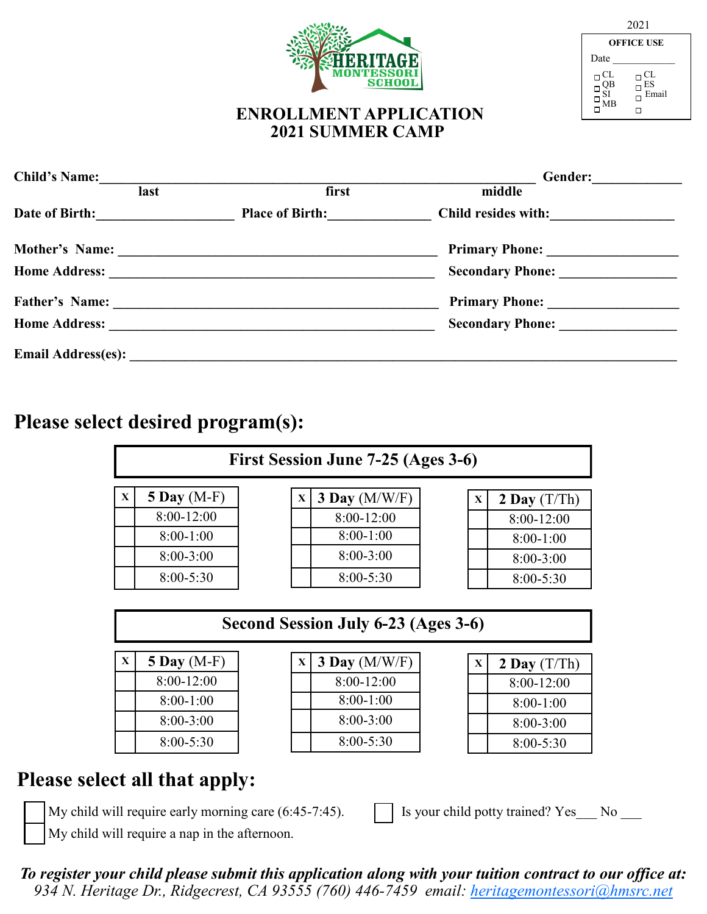

| 2021                                                                                                                                                   |                                                                                                                                |  |  |  |  |  |  |
|--------------------------------------------------------------------------------------------------------------------------------------------------------|--------------------------------------------------------------------------------------------------------------------------------|--|--|--|--|--|--|
|                                                                                                                                                        | <b>OFFICE USE</b>                                                                                                              |  |  |  |  |  |  |
| Date                                                                                                                                                   |                                                                                                                                |  |  |  |  |  |  |
| $\begin{array}{c} \square \stackrel{\text{CL}}{\square} \\ \square \stackrel{\text{QB}}{\square} \\ \square \stackrel{\text{MB}}{\square} \end{array}$ | $\begin{array}{l} \square \stackrel{\text{CL}}{\text{ES}}\\ \square \stackrel{\text{ESS}}{\text{Email}}\\ \square \end{array}$ |  |  |  |  |  |  |

#### **ENROLLMENT APPLICATION 2021 SUMMER CAMP**

| <b>Child's Name:</b>      |                        | Gender:                 |
|---------------------------|------------------------|-------------------------|
| last                      | first                  | middle                  |
| Date of Birth:            | <b>Place of Birth:</b> | Child resides with:     |
| <b>Mother's Name:</b>     |                        | <b>Primary Phone:</b>   |
|                           |                        |                         |
| <b>Father's Name:</b>     |                        | <b>Primary Phone:</b>   |
| <b>Home Address:</b>      |                        | <b>Secondary Phone:</b> |
| <b>Email Address(es):</b> |                        |                         |

## **Please select desired program(s):**

| First Session June 7-25 (Ages 3-6) |               |  |  |                 |  |   |                |
|------------------------------------|---------------|--|--|-----------------|--|---|----------------|
| $\mathbf X$                        | $5$ Day (M-F) |  |  | 3 Day $(M/W/F)$ |  | X | 2 Day $(T/Th)$ |
|                                    | 8:00-12:00    |  |  | 8:00-12:00      |  |   | 8:00-12:00     |
|                                    | $8:00-1:00$   |  |  | $8:00-1:00$     |  |   | $8:00-1:00$    |
|                                    | $8:00 - 3:00$ |  |  | $8:00-3:00$     |  |   | $8:00-3:00$    |
|                                    | $8:00 - 5:30$ |  |  | $8:00 - 5:30$   |  |   | $8:00 - 5:30$  |

#### **Second Session July 6-23 (Ages 3-6)**

| $\mathbf x$ | 5 Day $(M-F)$ |
|-------------|---------------|
|             | 8:00-12:00    |
|             | $8:00-1:00$   |
|             | 8:00-3:00     |
|             | $8:00 - 5:30$ |

| $\mathbf{X}$ | $3$ Day (M/W/F) |
|--------------|-----------------|
|              | 8:00-12:00      |
|              | $8:00-1:00$     |
|              | $8:00-3:00$     |
|              | $8:00 - 5:30$   |

| $\mathbf{x}$ | 2 Day $(T/Th)$ |
|--------------|----------------|
|              | 8:00-12:00     |
|              | 8:00-1:00      |
|              | 8:00-3:00      |
|              | $8:00 - 5:30$  |

# **Please select all that apply:**

|  | í |
|--|---|
|  | l |
|  | l |
|  |   |

My child will require a nap in the afternoon.

My child will require early morning care  $(6:45-7:45)$ .  $\parallel$  Is your child potty trained? Yes No

*To register your child please submit this application along with your tuition contract to our office at: 934 N. Heritage Dr., Ridgecrest, CA 93555 (760) 446-[7459 email: heritagemontessori@hmsrc.net](mailto:93555~760-446-7459~heritagemontessori@hmsrc.net)*